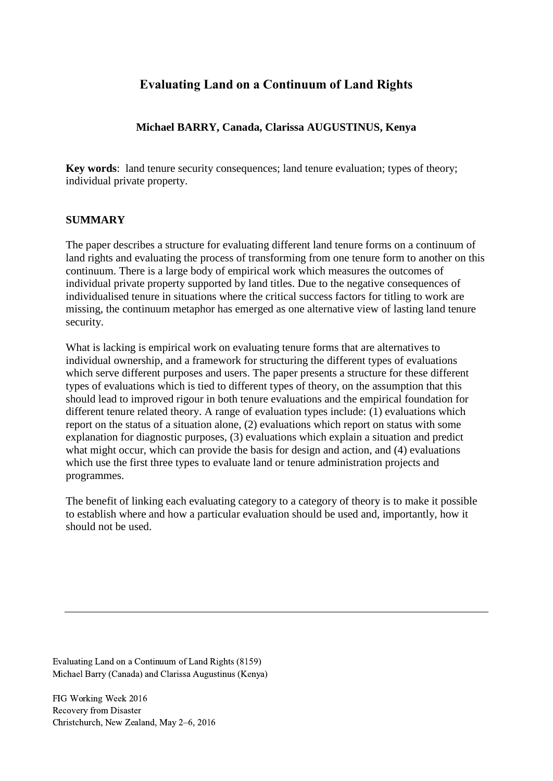# **Evaluating Land on a Continuum of Land Rights**

### **Michael BARRY, Canada, Clarissa AUGUSTINUS, Kenya**

**Key words**: land tenure security consequences; land tenure evaluation; types of theory; individual private property.

#### **SUMMARY**

The paper describes a structure for evaluating different land tenure forms on a continuum of land rights and evaluating the process of transforming from one tenure form to another on this continuum. There is a large body of empirical work which measures the outcomes of individual private property supported by land titles. Due to the negative consequences of individualised tenure in situations where the critical success factors for titling to work are missing, the continuum metaphor has emerged as one alternative view of lasting land tenure security.

What is lacking is empirical work on evaluating tenure forms that are alternatives to individual ownership, and a framework for structuring the different types of evaluations which serve different purposes and users. The paper presents a structure for these different types of evaluations which is tied to different types of theory, on the assumption that this should lead to improved rigour in both tenure evaluations and the empirical foundation for different tenure related theory. A range of evaluation types include: (1) evaluations which report on the status of a situation alone, (2) evaluations which report on status with some explanation for diagnostic purposes, (3) evaluations which explain a situation and predict what might occur, which can provide the basis for design and action, and (4) evaluations which use the first three types to evaluate land or tenure administration projects and programmes.

The benefit of linking each evaluating category to a category of theory is to make it possible to establish where and how a particular evaluation should be used and, importantly, how it should not be used.

Evaluating Land on a Continuum of Land Rights (8159) Michael Barry (Canada) and Clarissa Augustinus (Kenya)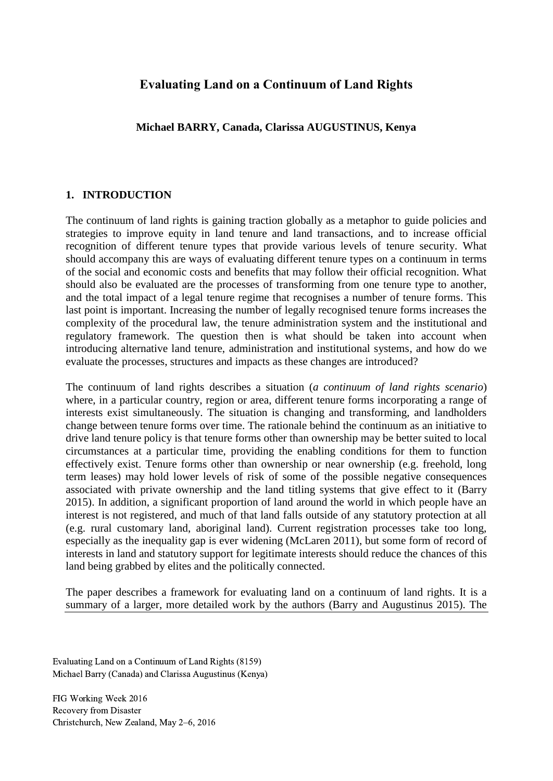## **Evaluating Land on a Continuum of Land Rights**

**Michael BARRY, Canada, Clarissa AUGUSTINUS, Kenya**

#### **1. INTRODUCTION**

The continuum of land rights is gaining traction globally as a metaphor to guide policies and strategies to improve equity in land tenure and land transactions, and to increase official recognition of different tenure types that provide various levels of tenure security. What should accompany this are ways of evaluating different tenure types on a continuum in terms of the social and economic costs and benefits that may follow their official recognition. What should also be evaluated are the processes of transforming from one tenure type to another, and the total impact of a legal tenure regime that recognises a number of tenure forms. This last point is important. Increasing the number of legally recognised tenure forms increases the complexity of the procedural law, the tenure administration system and the institutional and regulatory framework. The question then is what should be taken into account when introducing alternative land tenure, administration and institutional systems, and how do we evaluate the processes, structures and impacts as these changes are introduced?

The continuum of land rights describes a situation (*a continuum of land rights scenario*) where, in a particular country, region or area, different tenure forms incorporating a range of interests exist simultaneously. The situation is changing and transforming, and landholders change between tenure forms over time. The rationale behind the continuum as an initiative to drive land tenure policy is that tenure forms other than ownership may be better suited to local circumstances at a particular time, providing the enabling conditions for them to function effectively exist. Tenure forms other than ownership or near ownership (e.g. freehold, long term leases) may hold lower levels of risk of some of the possible negative consequences associated with private ownership and the land titling systems that give effect to it (Barry 2015). In addition, a significant proportion of land around the world in which people have an interest is not registered, and much of that land falls outside of any statutory protection at all (e.g. rural customary land, aboriginal land). Current registration processes take too long, especially as the inequality gap is ever widening (McLaren 2011), but some form of record of interests in land and statutory support for legitimate interests should reduce the chances of this land being grabbed by elites and the politically connected.

The paper describes a framework for evaluating land on a continuum of land rights. It is a summary of a larger, more detailed work by the authors (Barry and Augustinus 2015). The

Evaluating Land on a Continuum of Land Rights (8159) Michael Barry (Canada) and Clarissa Augustinus (Kenya)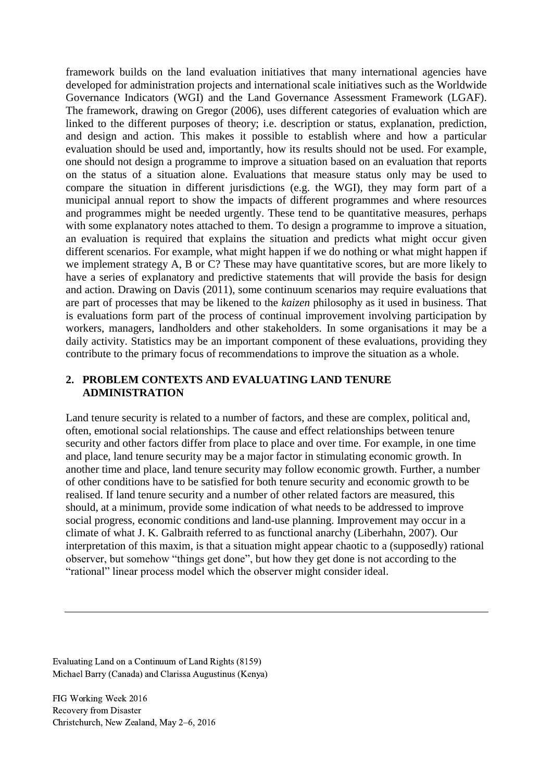framework builds on the land evaluation initiatives that many international agencies have developed for administration projects and international scale initiatives such as the Worldwide Governance Indicators (WGI) and the Land Governance Assessment Framework (LGAF). The framework, drawing on Gregor (2006), uses different categories of evaluation which are linked to the different purposes of theory; i.e. description or status, explanation, prediction, and design and action. This makes it possible to establish where and how a particular evaluation should be used and, importantly, how its results should not be used. For example, one should not design a programme to improve a situation based on an evaluation that reports on the status of a situation alone. Evaluations that measure status only may be used to compare the situation in different jurisdictions (e.g. the WGI), they may form part of a municipal annual report to show the impacts of different programmes and where resources and programmes might be needed urgently. These tend to be quantitative measures, perhaps with some explanatory notes attached to them. To design a programme to improve a situation, an evaluation is required that explains the situation and predicts what might occur given different scenarios. For example, what might happen if we do nothing or what might happen if we implement strategy A, B or C? These may have quantitative scores, but are more likely to have a series of explanatory and predictive statements that will provide the basis for design and action. Drawing on Davis (2011), some continuum scenarios may require evaluations that are part of processes that may be likened to the *kaizen* philosophy as it used in business. That is evaluations form part of the process of continual improvement involving participation by workers, managers, landholders and other stakeholders. In some organisations it may be a daily activity. Statistics may be an important component of these evaluations, providing they contribute to the primary focus of recommendations to improve the situation as a whole.

#### **2. PROBLEM CONTEXTS AND EVALUATING LAND TENURE ADMINISTRATION**

Land tenure security is related to a number of factors, and these are complex, political and, often, emotional social relationships. The cause and effect relationships between tenure security and other factors differ from place to place and over time. For example, in one time and place, land tenure security may be a major factor in stimulating economic growth. In another time and place, land tenure security may follow economic growth. Further, a number of other conditions have to be satisfied for both tenure security and economic growth to be realised. If land tenure security and a number of other related factors are measured, this should, at a minimum, provide some indication of what needs to be addressed to improve social progress, economic conditions and land-use planning. Improvement may occur in a climate of what J. K. Galbraith referred to as functional anarchy (Liberhahn, 2007). Our interpretation of this maxim, is that a situation might appear chaotic to a (supposedly) rational observer, but somehow "things get done", but how they get done is not according to the "rational" linear process model which the observer might consider ideal.

Evaluating Land on a Continuum of Land Rights (8159) Michael Barry (Canada) and Clarissa Augustinus (Kenya)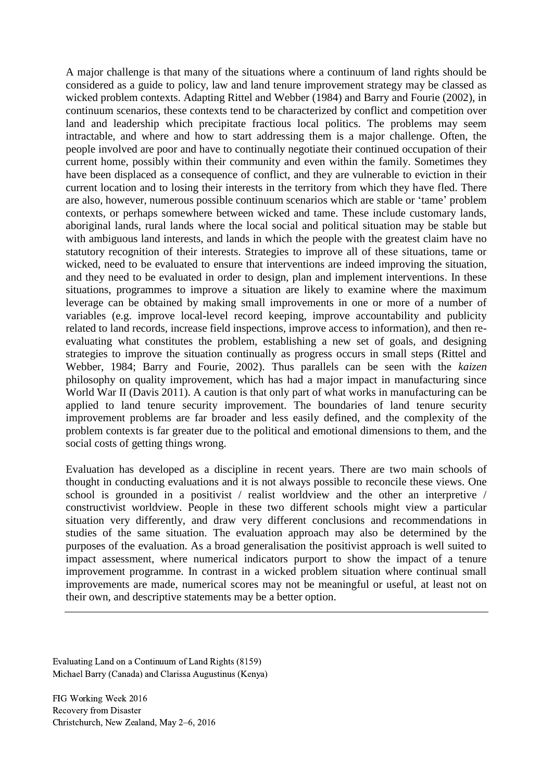A major challenge is that many of the situations where a continuum of land rights should be considered as a guide to policy, law and land tenure improvement strategy may be classed as wicked problem contexts. Adapting Rittel and Webber (1984) and Barry and Fourie (2002), in continuum scenarios, these contexts tend to be characterized by conflict and competition over land and leadership which precipitate fractious local politics. The problems may seem intractable, and where and how to start addressing them is a major challenge. Often, the people involved are poor and have to continually negotiate their continued occupation of their current home, possibly within their community and even within the family. Sometimes they have been displaced as a consequence of conflict, and they are vulnerable to eviction in their current location and to losing their interests in the territory from which they have fled. There are also, however, numerous possible continuum scenarios which are stable or 'tame' problem contexts, or perhaps somewhere between wicked and tame. These include customary lands, aboriginal lands, rural lands where the local social and political situation may be stable but with ambiguous land interests, and lands in which the people with the greatest claim have no statutory recognition of their interests. Strategies to improve all of these situations, tame or wicked, need to be evaluated to ensure that interventions are indeed improving the situation, and they need to be evaluated in order to design, plan and implement interventions. In these situations, programmes to improve a situation are likely to examine where the maximum leverage can be obtained by making small improvements in one or more of a number of variables (e.g. improve local-level record keeping, improve accountability and publicity related to land records, increase field inspections, improve access to information), and then reevaluating what constitutes the problem, establishing a new set of goals, and designing strategies to improve the situation continually as progress occurs in small steps (Rittel and Webber, 1984; Barry and Fourie, 2002). Thus parallels can be seen with the *kaizen* philosophy on quality improvement, which has had a major impact in manufacturing since World War II (Davis 2011). A caution is that only part of what works in manufacturing can be applied to land tenure security improvement. The boundaries of land tenure security improvement problems are far broader and less easily defined, and the complexity of the problem contexts is far greater due to the political and emotional dimensions to them, and the social costs of getting things wrong.

Evaluation has developed as a discipline in recent years. There are two main schools of thought in conducting evaluations and it is not always possible to reconcile these views. One school is grounded in a positivist / realist worldview and the other an interpretive / constructivist worldview. People in these two different schools might view a particular situation very differently, and draw very different conclusions and recommendations in studies of the same situation. The evaluation approach may also be determined by the purposes of the evaluation. As a broad generalisation the positivist approach is well suited to impact assessment, where numerical indicators purport to show the impact of a tenure improvement programme. In contrast in a wicked problem situation where continual small improvements are made, numerical scores may not be meaningful or useful, at least not on their own, and descriptive statements may be a better option.

Evaluating Land on a Continuum of Land Rights (8159) Michael Barry (Canada) and Clarissa Augustinus (Kenya)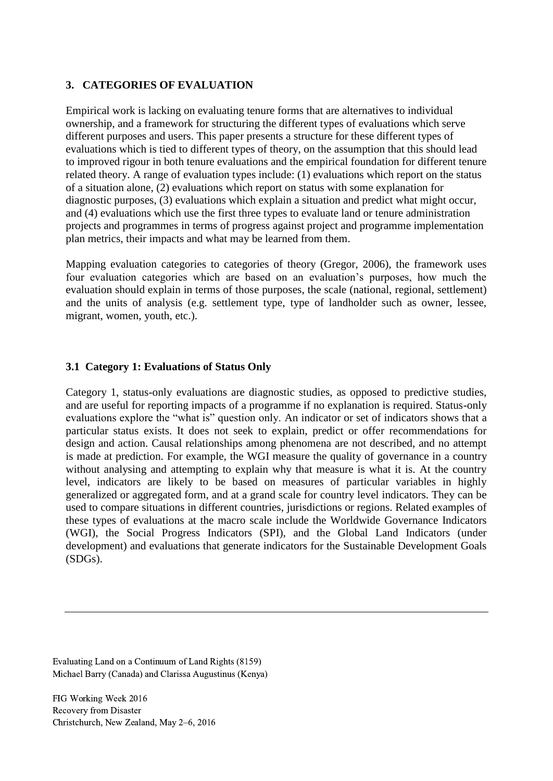#### **3. CATEGORIES OF EVALUATION**

Empirical work is lacking on evaluating tenure forms that are alternatives to individual ownership, and a framework for structuring the different types of evaluations which serve different purposes and users. This paper presents a structure for these different types of evaluations which is tied to different types of theory, on the assumption that this should lead to improved rigour in both tenure evaluations and the empirical foundation for different tenure related theory. A range of evaluation types include: (1) evaluations which report on the status of a situation alone, (2) evaluations which report on status with some explanation for diagnostic purposes, (3) evaluations which explain a situation and predict what might occur, and (4) evaluations which use the first three types to evaluate land or tenure administration projects and programmes in terms of progress against project and programme implementation plan metrics, their impacts and what may be learned from them.

Mapping evaluation categories to categories of theory (Gregor, 2006), the framework uses four evaluation categories which are based on an evaluation's purposes, how much the evaluation should explain in terms of those purposes, the scale (national, regional, settlement) and the units of analysis (e.g. settlement type, type of landholder such as owner, lessee, migrant, women, youth, etc.).

#### **3.1 Category 1: Evaluations of Status Only**

Category 1, status-only evaluations are diagnostic studies, as opposed to predictive studies, and are useful for reporting impacts of a programme if no explanation is required. Status-only evaluations explore the "what is" question only. An indicator or set of indicators shows that a particular status exists. It does not seek to explain, predict or offer recommendations for design and action. Causal relationships among phenomena are not described, and no attempt is made at prediction. For example, the WGI measure the quality of governance in a country without analysing and attempting to explain why that measure is what it is. At the country level, indicators are likely to be based on measures of particular variables in highly generalized or aggregated form, and at a grand scale for country level indicators. They can be used to compare situations in different countries, jurisdictions or regions. Related examples of these types of evaluations at the macro scale include the Worldwide Governance Indicators (WGI), the Social Progress Indicators (SPI), and the Global Land Indicators (under development) and evaluations that generate indicators for the Sustainable Development Goals (SDGs).

Evaluating Land on a Continuum of Land Rights (8159) Michael Barry (Canada) and Clarissa Augustinus (Kenya)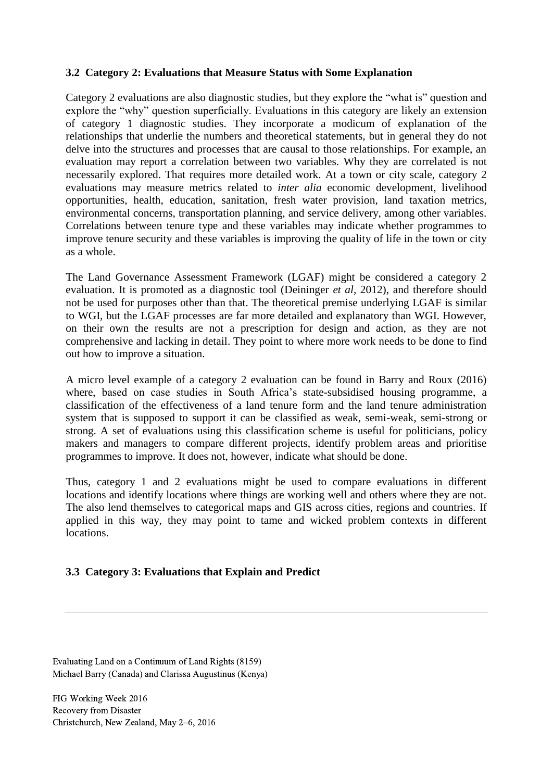#### **3.2 Category 2: Evaluations that Measure Status with Some Explanation**

Category 2 evaluations are also diagnostic studies, but they explore the "what is" question and explore the "why" question superficially. Evaluations in this category are likely an extension of category 1 diagnostic studies. They incorporate a modicum of explanation of the relationships that underlie the numbers and theoretical statements, but in general they do not delve into the structures and processes that are causal to those relationships. For example, an evaluation may report a correlation between two variables. Why they are correlated is not necessarily explored. That requires more detailed work. At a town or city scale, category 2 evaluations may measure metrics related to *inter alia* economic development, livelihood opportunities, health, education, sanitation, fresh water provision, land taxation metrics, environmental concerns, transportation planning, and service delivery, among other variables. Correlations between tenure type and these variables may indicate whether programmes to improve tenure security and these variables is improving the quality of life in the town or city as a whole.

The Land Governance Assessment Framework (LGAF) might be considered a category 2 evaluation. It is promoted as a diagnostic tool (Deininger *et al,* 2012), and therefore should not be used for purposes other than that. The theoretical premise underlying LGAF is similar to WGI, but the LGAF processes are far more detailed and explanatory than WGI. However, on their own the results are not a prescription for design and action, as they are not comprehensive and lacking in detail. They point to where more work needs to be done to find out how to improve a situation.

A micro level example of a category 2 evaluation can be found in Barry and Roux (2016) where, based on case studies in South Africa's state-subsidised housing programme, a classification of the effectiveness of a land tenure form and the land tenure administration system that is supposed to support it can be classified as weak, semi-weak, semi-strong or strong. A set of evaluations using this classification scheme is useful for politicians, policy makers and managers to compare different projects, identify problem areas and prioritise programmes to improve. It does not, however, indicate what should be done.

Thus, category 1 and 2 evaluations might be used to compare evaluations in different locations and identify locations where things are working well and others where they are not. The also lend themselves to categorical maps and GIS across cities, regions and countries. If applied in this way, they may point to tame and wicked problem contexts in different locations.

#### **3.3 Category 3: Evaluations that Explain and Predict**

Evaluating Land on a Continuum of Land Rights (8159) Michael Barry (Canada) and Clarissa Augustinus (Kenya)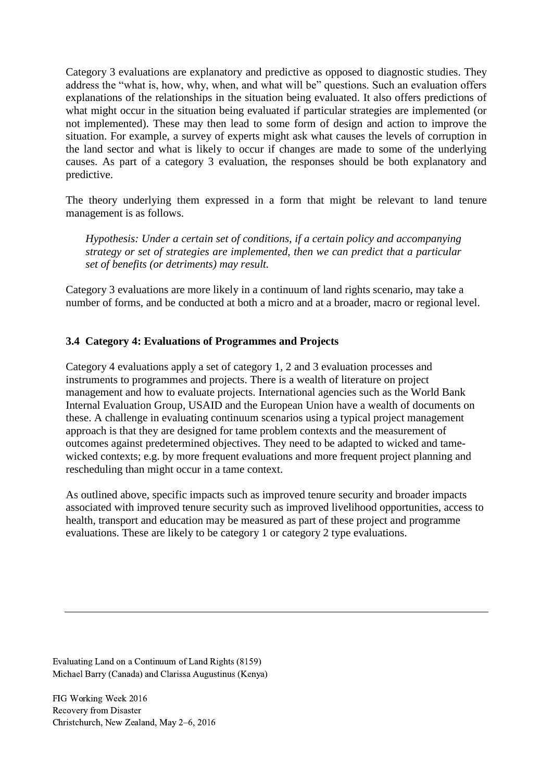Category 3 evaluations are explanatory and predictive as opposed to diagnostic studies. They address the "what is, how, why, when, and what will be" questions. Such an evaluation offers explanations of the relationships in the situation being evaluated. It also offers predictions of what might occur in the situation being evaluated if particular strategies are implemented (or not implemented). These may then lead to some form of design and action to improve the situation. For example, a survey of experts might ask what causes the levels of corruption in the land sector and what is likely to occur if changes are made to some of the underlying causes. As part of a category 3 evaluation, the responses should be both explanatory and predictive.

The theory underlying them expressed in a form that might be relevant to land tenure management is as follows.

*Hypothesis: Under a certain set of conditions, if a certain policy and accompanying strategy or set of strategies are implemented, then we can predict that a particular set of benefits (or detriments) may result.* 

Category 3 evaluations are more likely in a continuum of land rights scenario, may take a number of forms, and be conducted at both a micro and at a broader, macro or regional level.

#### **3.4 Category 4: Evaluations of Programmes and Projects**

Category 4 evaluations apply a set of category 1, 2 and 3 evaluation processes and instruments to programmes and projects. There is a wealth of literature on project management and how to evaluate projects. International agencies such as the World Bank Internal Evaluation Group, USAID and the European Union have a wealth of documents on these. A challenge in evaluating continuum scenarios using a typical project management approach is that they are designed for tame problem contexts and the measurement of outcomes against predetermined objectives. They need to be adapted to wicked and tamewicked contexts; e.g. by more frequent evaluations and more frequent project planning and rescheduling than might occur in a tame context.

As outlined above, specific impacts such as improved tenure security and broader impacts associated with improved tenure security such as improved livelihood opportunities, access to health, transport and education may be measured as part of these project and programme evaluations. These are likely to be category 1 or category 2 type evaluations.

Evaluating Land on a Continuum of Land Rights (8159) Michael Barry (Canada) and Clarissa Augustinus (Kenya)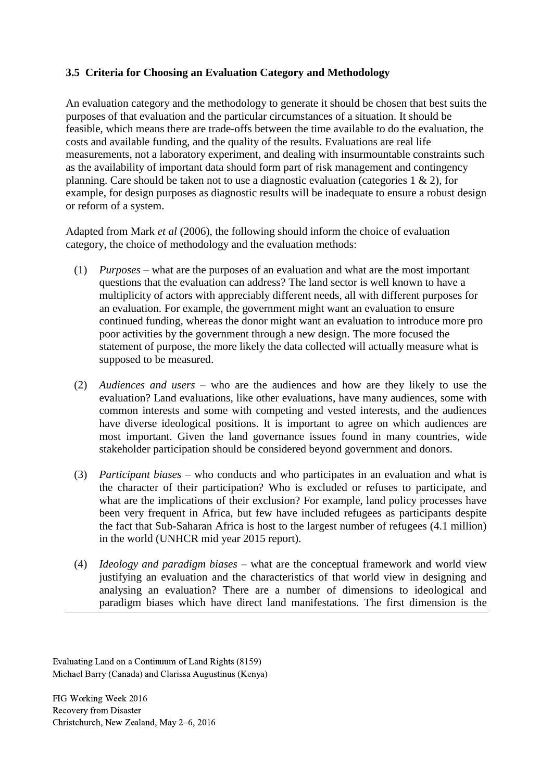## **3.5 Criteria for Choosing an Evaluation Category and Methodology**

An evaluation category and the methodology to generate it should be chosen that best suits the purposes of that evaluation and the particular circumstances of a situation. It should be feasible, which means there are trade-offs between the time available to do the evaluation, the costs and available funding, and the quality of the results. Evaluations are real life measurements, not a laboratory experiment, and dealing with insurmountable constraints such as the availability of important data should form part of risk management and contingency planning. Care should be taken not to use a diagnostic evaluation (categories 1 & 2), for example, for design purposes as diagnostic results will be inadequate to ensure a robust design or reform of a system.

Adapted from Mark *et al* (2006), the following should inform the choice of evaluation category, the choice of methodology and the evaluation methods:

- (1) *Purposes* what are the purposes of an evaluation and what are the most important questions that the evaluation can address? The land sector is well known to have a multiplicity of actors with appreciably different needs, all with different purposes for an evaluation. For example, the government might want an evaluation to ensure continued funding, whereas the donor might want an evaluation to introduce more pro poor activities by the government through a new design. The more focused the statement of purpose, the more likely the data collected will actually measure what is supposed to be measured.
- (2) *Audiences and users*  who are the audiences and how are they likely to use the evaluation? Land evaluations, like other evaluations, have many audiences, some with common interests and some with competing and vested interests, and the audiences have diverse ideological positions. It is important to agree on which audiences are most important. Given the land governance issues found in many countries, wide stakeholder participation should be considered beyond government and donors.
- (3) *Participant biases* who conducts and who participates in an evaluation and what is the character of their participation? Who is excluded or refuses to participate, and what are the implications of their exclusion? For example, land policy processes have been very frequent in Africa, but few have included refugees as participants despite the fact that Sub-Saharan Africa is host to the largest number of refugees (4.1 million) in the world (UNHCR mid year 2015 report).
- (4) *Ideology and paradigm biases* what are the conceptual framework and world view justifying an evaluation and the characteristics of that world view in designing and analysing an evaluation? There are a number of dimensions to ideological and paradigm biases which have direct land manifestations. The first dimension is the

Evaluating Land on a Continuum of Land Rights (8159) Michael Barry (Canada) and Clarissa Augustinus (Kenya)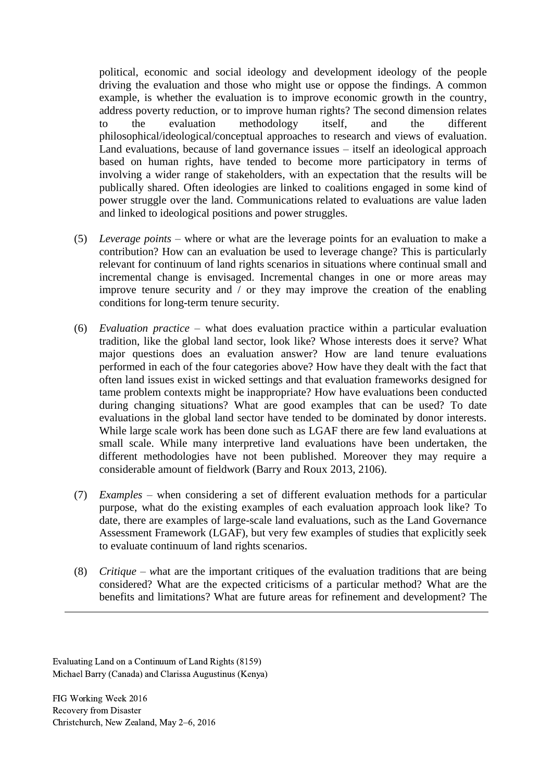political, economic and social ideology and development ideology of the people driving the evaluation and those who might use or oppose the findings. A common example, is whether the evaluation is to improve economic growth in the country, address poverty reduction, or to improve human rights? The second dimension relates to the evaluation methodology itself, and the different philosophical/ideological/conceptual approaches to research and views of evaluation. Land evaluations, because of land governance issues – itself an ideological approach based on human rights, have tended to become more participatory in terms of involving a wider range of stakeholders, with an expectation that the results will be publically shared. Often ideologies are linked to coalitions engaged in some kind of power struggle over the land. Communications related to evaluations are value laden and linked to ideological positions and power struggles.

- (5) *Leverage points* where or what are the leverage points for an evaluation to make a contribution? How can an evaluation be used to leverage change? This is particularly relevant for continuum of land rights scenarios in situations where continual small and incremental change is envisaged. Incremental changes in one or more areas may improve tenure security and / or they may improve the creation of the enabling conditions for long-term tenure security.
- (6) *Evaluation practice*  what does evaluation practice within a particular evaluation tradition, like the global land sector, look like? Whose interests does it serve? What major questions does an evaluation answer? How are land tenure evaluations performed in each of the four categories above? How have they dealt with the fact that often land issues exist in wicked settings and that evaluation frameworks designed for tame problem contexts might be inappropriate? How have evaluations been conducted during changing situations? What are good examples that can be used? To date evaluations in the global land sector have tended to be dominated by donor interests. While large scale work has been done such as LGAF there are few land evaluations at small scale. While many interpretive land evaluations have been undertaken, the different methodologies have not been published. Moreover they may require a considerable amount of fieldwork (Barry and Roux 2013, 2106).
- (7) *Examples –* when considering a set of different evaluation methods for a particular purpose, what do the existing examples of each evaluation approach look like? To date, there are examples of large-scale land evaluations, such as the Land Governance Assessment Framework (LGAF), but very few examples of studies that explicitly seek to evaluate continuum of land rights scenarios.
- (8) *Critique – w*hat are the important critiques of the evaluation traditions that are being considered? What are the expected criticisms of a particular method? What are the benefits and limitations? What are future areas for refinement and development? The

Evaluating Land on a Continuum of Land Rights (8159) Michael Barry (Canada) and Clarissa Augustinus (Kenya)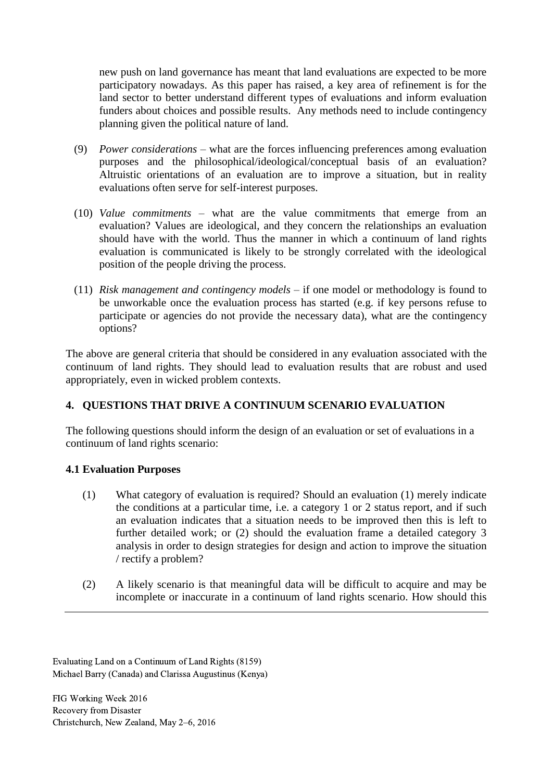new push on land governance has meant that land evaluations are expected to be more participatory nowadays. As this paper has raised, a key area of refinement is for the land sector to better understand different types of evaluations and inform evaluation funders about choices and possible results. Any methods need to include contingency planning given the political nature of land.

- (9) *Power considerations* what are the forces influencing preferences among evaluation purposes and the philosophical/ideological/conceptual basis of an evaluation? Altruistic orientations of an evaluation are to improve a situation, but in reality evaluations often serve for self-interest purposes.
- (10) *Value commitments* what are the value commitments that emerge from an evaluation? Values are ideological, and they concern the relationships an evaluation should have with the world. Thus the manner in which a continuum of land rights evaluation is communicated is likely to be strongly correlated with the ideological position of the people driving the process.
- (11) *Risk management and contingency models* if one model or methodology is found to be unworkable once the evaluation process has started (e.g. if key persons refuse to participate or agencies do not provide the necessary data), what are the contingency options?

The above are general criteria that should be considered in any evaluation associated with the continuum of land rights. They should lead to evaluation results that are robust and used appropriately, even in wicked problem contexts.

#### **4. QUESTIONS THAT DRIVE A CONTINUUM SCENARIO EVALUATION**

The following questions should inform the design of an evaluation or set of evaluations in a continuum of land rights scenario:

#### **4.1 Evaluation Purposes**

- (1) What category of evaluation is required? Should an evaluation (1) merely indicate the conditions at a particular time, i.e. a category 1 or 2 status report, and if such an evaluation indicates that a situation needs to be improved then this is left to further detailed work; or (2) should the evaluation frame a detailed category 3 analysis in order to design strategies for design and action to improve the situation / rectify a problem?
- (2) A likely scenario is that meaningful data will be difficult to acquire and may be incomplete or inaccurate in a continuum of land rights scenario. How should this

Evaluating Land on a Continuum of Land Rights (8159) Michael Barry (Canada) and Clarissa Augustinus (Kenya)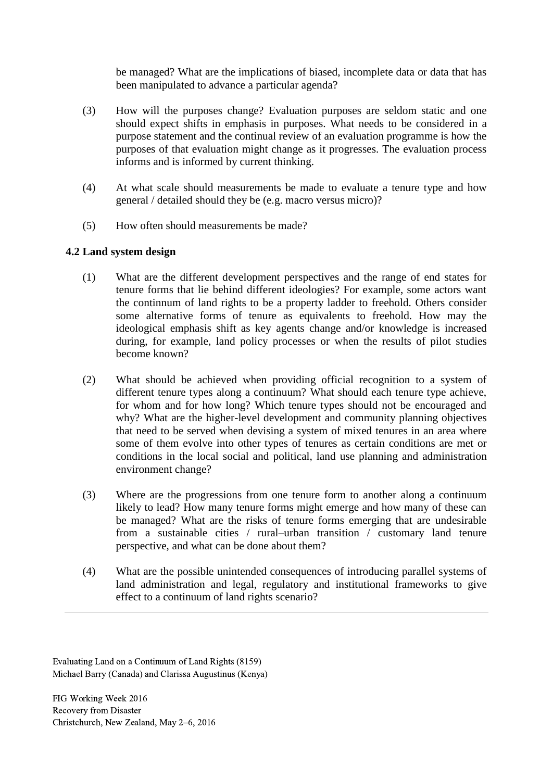be managed? What are the implications of biased, incomplete data or data that has been manipulated to advance a particular agenda?

- (3) How will the purposes change? Evaluation purposes are seldom static and one should expect shifts in emphasis in purposes. What needs to be considered in a purpose statement and the continual review of an evaluation programme is how the purposes of that evaluation might change as it progresses. The evaluation process informs and is informed by current thinking.
- (4) At what scale should measurements be made to evaluate a tenure type and how general / detailed should they be (e.g. macro versus micro)?
- (5) How often should measurements be made?

## **4.2 Land system design**

- (1) What are the different development perspectives and the range of end states for tenure forms that lie behind different ideologies? For example, some actors want the continnum of land rights to be a property ladder to freehold. Others consider some alternative forms of tenure as equivalents to freehold. How may the ideological emphasis shift as key agents change and/or knowledge is increased during, for example, land policy processes or when the results of pilot studies become known?
- (2) What should be achieved when providing official recognition to a system of different tenure types along a continuum? What should each tenure type achieve, for whom and for how long? Which tenure types should not be encouraged and why? What are the higher-level development and community planning objectives that need to be served when devising a system of mixed tenures in an area where some of them evolve into other types of tenures as certain conditions are met or conditions in the local social and political, land use planning and administration environment change?
- (3) Where are the progressions from one tenure form to another along a continuum likely to lead? How many tenure forms might emerge and how many of these can be managed? What are the risks of tenure forms emerging that are undesirable from a sustainable cities / rural–urban transition / customary land tenure perspective, and what can be done about them?
- (4) What are the possible unintended consequences of introducing parallel systems of land administration and legal, regulatory and institutional frameworks to give effect to a continuum of land rights scenario?

Evaluating Land on a Continuum of Land Rights (8159) Michael Barry (Canada) and Clarissa Augustinus (Kenya)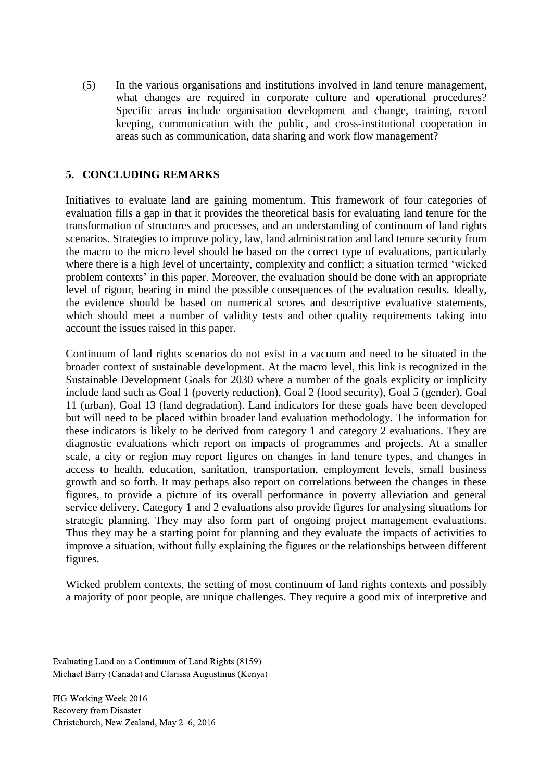(5) In the various organisations and institutions involved in land tenure management, what changes are required in corporate culture and operational procedures? Specific areas include organisation development and change, training, record keeping, communication with the public, and cross-institutional cooperation in areas such as communication, data sharing and work flow management?

### **5. CONCLUDING REMARKS**

Initiatives to evaluate land are gaining momentum. This framework of four categories of evaluation fills a gap in that it provides the theoretical basis for evaluating land tenure for the transformation of structures and processes, and an understanding of continuum of land rights scenarios. Strategies to improve policy, law, land administration and land tenure security from the macro to the micro level should be based on the correct type of evaluations, particularly where there is a high level of uncertainty, complexity and conflict; a situation termed 'wicked problem contexts' in this paper. Moreover, the evaluation should be done with an appropriate level of rigour, bearing in mind the possible consequences of the evaluation results. Ideally, the evidence should be based on numerical scores and descriptive evaluative statements, which should meet a number of validity tests and other quality requirements taking into account the issues raised in this paper.

Continuum of land rights scenarios do not exist in a vacuum and need to be situated in the broader context of sustainable development. At the macro level, this link is recognized in the Sustainable Development Goals for 2030 where a number of the goals explicity or implicity include land such as Goal 1 (poverty reduction), Goal 2 (food security), Goal 5 (gender), Goal 11 (urban), Goal 13 (land degradation). Land indicators for these goals have been developed but will need to be placed within broader land evaluation methodology. The information for these indicators is likely to be derived from category 1 and category 2 evaluations. They are diagnostic evaluations which report on impacts of programmes and projects. At a smaller scale, a city or region may report figures on changes in land tenure types, and changes in access to health, education, sanitation, transportation, employment levels, small business growth and so forth. It may perhaps also report on correlations between the changes in these figures, to provide a picture of its overall performance in poverty alleviation and general service delivery. Category 1 and 2 evaluations also provide figures for analysing situations for strategic planning. They may also form part of ongoing project management evaluations. Thus they may be a starting point for planning and they evaluate the impacts of activities to improve a situation, without fully explaining the figures or the relationships between different figures.

Wicked problem contexts, the setting of most continuum of land rights contexts and possibly a majority of poor people, are unique challenges. They require a good mix of interpretive and

Evaluating Land on a Continuum of Land Rights (8159) Michael Barry (Canada) and Clarissa Augustinus (Kenya)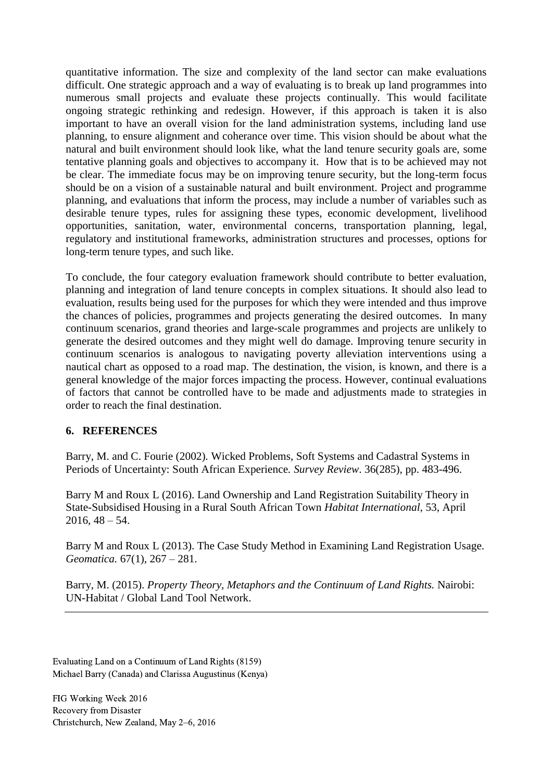quantitative information. The size and complexity of the land sector can make evaluations difficult. One strategic approach and a way of evaluating is to break up land programmes into numerous small projects and evaluate these projects continually. This would facilitate ongoing strategic rethinking and redesign. However, if this approach is taken it is also important to have an overall vision for the land administration systems, including land use planning, to ensure alignment and coherance over time. This vision should be about what the natural and built environment should look like, what the land tenure security goals are, some tentative planning goals and objectives to accompany it. How that is to be achieved may not be clear. The immediate focus may be on improving tenure security, but the long-term focus should be on a vision of a sustainable natural and built environment. Project and programme planning, and evaluations that inform the process, may include a number of variables such as desirable tenure types, rules for assigning these types, economic development, livelihood opportunities, sanitation, water, environmental concerns, transportation planning, legal, regulatory and institutional frameworks, administration structures and processes, options for long-term tenure types, and such like.

To conclude, the four category evaluation framework should contribute to better evaluation, planning and integration of land tenure concepts in complex situations. It should also lead to evaluation, results being used for the purposes for which they were intended and thus improve the chances of policies, programmes and projects generating the desired outcomes. In many continuum scenarios, grand theories and large-scale programmes and projects are unlikely to generate the desired outcomes and they might well do damage. Improving tenure security in continuum scenarios is analogous to navigating poverty alleviation interventions using a nautical chart as opposed to a road map. The destination, the vision, is known, and there is a general knowledge of the major forces impacting the process. However, continual evaluations of factors that cannot be controlled have to be made and adjustments made to strategies in order to reach the final destination.

#### **6. REFERENCES**

Barry, M. and C. Fourie (2002)*.* Wicked Problems, Soft Systems and Cadastral Systems in Periods of Uncertainty: South African Experience*. Survey Review*. 36(285), pp. 483-496.

Barry M and Roux L (2016). Land Ownership and Land Registration Suitability Theory in State-Subsidised Housing in a Rural South African Town *Habitat International,* 53, April  $2016, 48 - 54.$ 

Barry M and Roux L (2013). The Case Study Method in Examining Land Registration Usage. *Geomatica.* 67(1), 267 – 281.

Barry, M. (2015). *Property Theory, Metaphors and the Continuum of Land Rights.* Nairobi: UN-Habitat / Global Land Tool Network.

Evaluating Land on a Continuum of Land Rights (8159) Michael Barry (Canada) and Clarissa Augustinus (Kenya)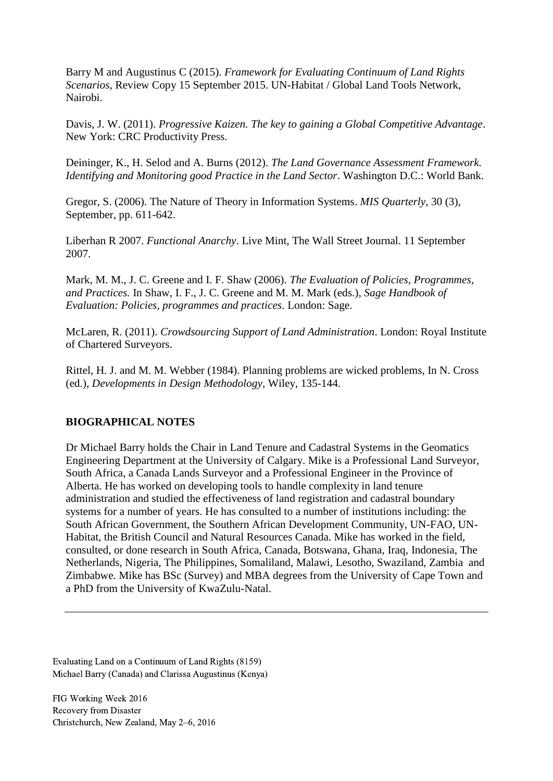Barry M and Augustinus C (2015). *Framework for Evaluating Continuum of Land Rights Scenarios*, Review Copy 15 September 2015. UN-Habitat / Global Land Tools Network, Nairobi.

Davis, J. W. (2011). *Progressive Kaizen. The key to gaining a Global Competitive Advantage*. New York: CRC Productivity Press.

Deininger, K., H. Selod and A. Burns (2012). *The Land Governance Assessment Framework. Identifying and Monitoring good Practice in the Land Sector*. Washington D.C.: World Bank.

Gregor, S. (2006). The Nature of Theory in Information Systems. *MIS Quarterly*, 30 (3), September, pp. 611-642.

Liberhan R 2007. *Functional Anarchy*. Live Mint, The Wall Street Journal. 11 September 2007.

Mark, M. M., J. C. Greene and I. F. Shaw (2006). *The Evaluation of Policies, Programmes, and Practices.* In Shaw, I. F., J. C. Greene and M. M. Mark (eds.), *Sage Handbook of Evaluation: Policies, programmes and practices*. London: Sage.

McLaren, R. (2011). *Crowdsourcing Support of Land Administration*. London: Royal Institute of Chartered Surveyors.

Rittel, H. J. and M. M. Webber (1984). Planning problems are wicked problems, In N. Cross (ed.), *Developments in Design Methodology*, Wiley, 135-144.

#### **BIOGRAPHICAL NOTES**

Dr Michael Barry holds the Chair in Land Tenure and Cadastral Systems in the Geomatics Engineering Department at the University of Calgary. Mike is a Professional Land Surveyor, South Africa, a Canada Lands Surveyor and a Professional Engineer in the Province of Alberta. He has worked on developing tools to handle complexity in land tenure administration and studied the effectiveness of land registration and cadastral boundary systems for a number of years. He has consulted to a number of institutions including: the South African Government, the Southern African Development Community, UN-FAO, UN-Habitat, the British Council and Natural Resources Canada. Mike has worked in the field, consulted, or done research in South Africa, Canada, Botswana, Ghana, Iraq, Indonesia, The Netherlands, Nigeria, The Philippines, Somaliland, Malawi, Lesotho, Swaziland, Zambia and Zimbabwe. Mike has BSc (Survey) and MBA degrees from the University of Cape Town and a PhD from the University of KwaZulu-Natal.

Evaluating Land on a Continuum of Land Rights (8159) Michael Barry (Canada) and Clarissa Augustinus (Kenya)